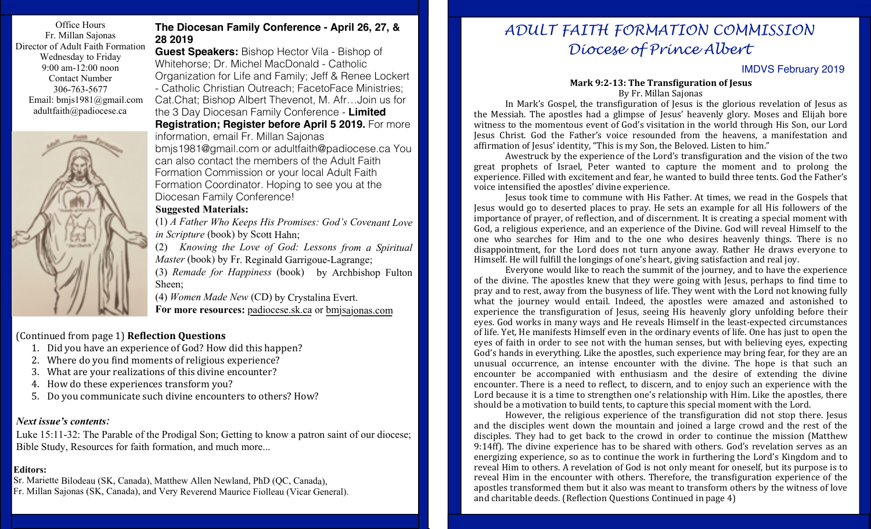Office Hours Fr. Millan Sajonas Director of Adult Faith Formation Wednesday to Friday 9:00 am-12:00 noon Contact Number 306-763-5677 Email: bmjs1981@gmail.com adultfaith@padiocese.ca



### **The Diocesan Family Conference - April 26, 27, & 28 2019**

**Guest Speakers:** Bishop Hector Vila - Bishop of Whitehorse; Dr. Michel MacDonald - Catholic Organization for Life and Family; Jeff & Renee Lockert - Catholic Christian Outreach; FacetoFace Ministries; Cat.Chat; Bishop Albert Thevenot, M. Afr…Join us for the 3 Day Diocesan Family Conference - **Limited Registration; Register before April 5 2019.** For more information, email Fr. Millan Sajonas bmjs1981@gmail.com or adultfaith@padiocese.ca You can also contact the members of the Adult Faith

Formation Commission or your local Adult Faith Formation Coordinator. Hoping to see you at the Diocesan Family Conference!

#### **Suggested Materials:**

(1) *A Father Who Keeps His Promises: God's Covenant Love in Scripture* (book) by Scott Hahn;

(2) *Knowing the Love of God: Lessons from a Spiritual Master* (book) by Fr. Reginald Garrigoue-Lagrange; (3) *Remade for Happiness* (book) by Archbishop Fulton Sheen;

(4) *Women Made New* (CD) by Crystalina Evert. **For more resources:** padiocese.sk.ca or bmjsajonas.com

### (Continued from page 1) **Re1lection Questions**

- 1. Did you have an experience of God? How did this happen?
- 2. Where do you find moments of religious experience?
- 3. What are your realizations of this divine encounter?
- 4. How do these experiences transform you?
- 5. Do you communicate such divine encounters to others? How?

### *Next issue's contents:*

Luke 15:11-32: The Parable of the Prodigal Son; Getting to know a patron saint of our diocese; Bible Study, Resources for faith formation, and much more...

### **Editors:**

Sr. Mariette Bilodeau (SK, Canada), Matthew Allen Newland, PhD (QC, Canada), Fr. Millan Sajonas (SK, Canada), and Very Reverend Maurice Fiolleau (Vicar General).

# *ADULT FAITH FORMATION COMMISSION Diocese of Prince Albert*

## IMDVS February 2019

#### **Mark 9:2-13: The Transfiguration of lesus** By Fr. Millan Sajonas

In Mark's Gospel, the transfiguration of Jesus is the glorious revelation of Jesus as the Messiah. The apostles had a glimpse of Jesus' heavenly glory. Moses and Elijah bore witness to the momentous event of God's visitation in the world through His Son, our Lord Jesus Christ. God the Father's voice resounded from the heavens, a manifestation and affirmation of Jesus' identity, "This is my Son, the Beloved. Listen to him."

Awestruck by the experience of the Lord's transfiguration and the vision of the two great prophets of Israel, Peter wanted to capture the moment and to prolong the experience. Filled with excitement and fear, he wanted to build three tents. God the Father's voice intensified the apostles' divine experience.

Jesus took time to commune with His Father. At times, we read in the Gospels that Jesus would go to deserted places to pray. He sets an example for all His followers of the importance of prayer, of reflection, and of discernment. It is creating a special moment with God, a religious experience, and an experience of the Divine. God will reveal Himself to the one who searches for Him and to the one who desires heavenly things. There is no disappointment, for the Lord does not turn anyone away. Rather He draws everyone to Himself. He will fulfill the longings of one's heart, giving satisfaction and real joy.

Everyone would like to reach the summit of the journey, and to have the experience of the divine. The apostles knew that they were going with Jesus, perhaps to find time to pray and to rest, away from the busyness of life. They went with the Lord not knowing fully what the journey would entail. Indeed, the apostles were amazed and astonished to experience the transfiguration of Jesus, seeing His heavenly glory unfolding before their eyes. God works in many ways and He reveals Himself in the least-expected circumstances of life. Yet, He manifests Himself even in the ordinary events of life. One has just to open the eyes of faith in order to see not with the human senses, but with believing eyes, expecting God's hands in everything. Like the apostles, such experience may bring fear, for they are an unusual occurrence, an intense encounter with the divine. The hope is that such an encounter be accompanied with enthusiasm and the desire of extending the divine encounter. There is a need to reflect, to discern, and to enjoy such an experience with the Lord because it is a time to strengthen one's relationship with Him. Like the apostles, there should be a motivation to build tents, to capture this special moment with the Lord.

However, the religious experience of the transfiguration did not stop there. Jesus and the disciples went down the mountain and joined a large crowd and the rest of the disciples. They had to get back to the crowd in order to continue the mission (Matthew 9:14ff). The divine experience has to be shared with others. God's revelation serves as an energizing experience, so as to continue the work in furthering the Lord's Kingdom and to reveal Him to others. A revelation of God is not only meant for oneself, but its purpose is to reveal Him in the encounter with others. Therefore, the transfiguration experience of the apostles transformed them but it also was meant to transform others by the witness of love and charitable deeds. (Reflection Questions Continued in page 4)